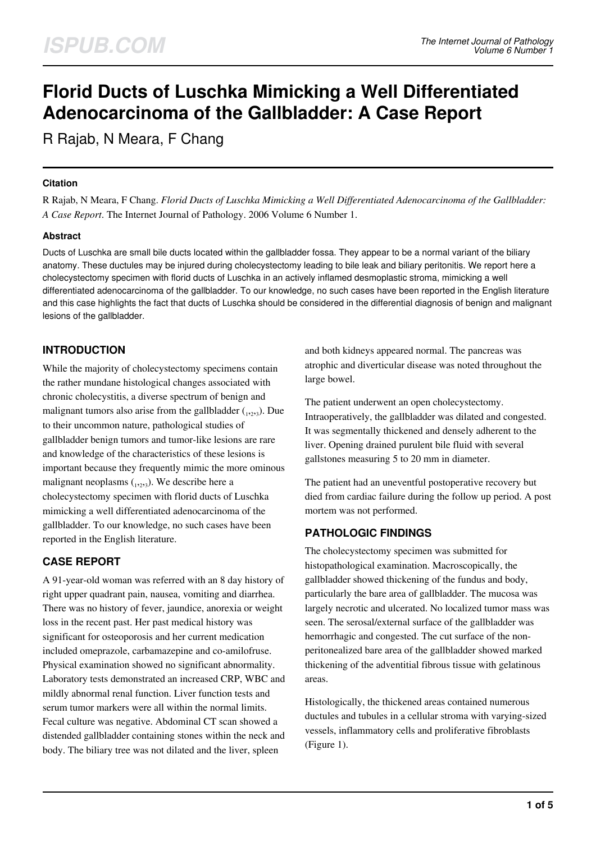# **Florid Ducts of Luschka Mimicking a Well Differentiated Adenocarcinoma of the Gallbladder: A Case Report**

R Rajab, N Meara, F Chang

#### **Citation**

R Rajab, N Meara, F Chang. *Florid Ducts of Luschka Mimicking a Well Differentiated Adenocarcinoma of the Gallbladder: A Case Report*. The Internet Journal of Pathology. 2006 Volume 6 Number 1.

#### **Abstract**

Ducts of Luschka are small bile ducts located within the gallbladder fossa. They appear to be a normal variant of the biliary anatomy. These ductules may be injured during cholecystectomy leading to bile leak and biliary peritonitis. We report here a cholecystectomy specimen with florid ducts of Luschka in an actively inflamed desmoplastic stroma, mimicking a well differentiated adenocarcinoma of the gallbladder. To our knowledge, no such cases have been reported in the English literature and this case highlights the fact that ducts of Luschka should be considered in the differential diagnosis of benign and malignant lesions of the gallbladder.

## **INTRODUCTION**

While the majority of cholecystectomy specimens contain the rather mundane histological changes associated with chronic cholecystitis, a diverse spectrum of benign and malignant tumors also arise from the gallbladder  $_{1,2,3}$ ). Due to their uncommon nature, pathological studies of gallbladder benign tumors and tumor-like lesions are rare and knowledge of the characteristics of these lesions is important because they frequently mimic the more ominous malignant neoplasms  $_{1,2,3}$ ). We describe here a cholecystectomy specimen with florid ducts of Luschka mimicking a well differentiated adenocarcinoma of the gallbladder. To our knowledge, no such cases have been reported in the English literature.

## **CASE REPORT**

A 91-year-old woman was referred with an 8 day history of right upper quadrant pain, nausea, vomiting and diarrhea. There was no history of fever, jaundice, anorexia or weight loss in the recent past. Her past medical history was significant for osteoporosis and her current medication included omeprazole, carbamazepine and co-amilofruse. Physical examination showed no significant abnormality. Laboratory tests demonstrated an increased CRP, WBC and mildly abnormal renal function. Liver function tests and serum tumor markers were all within the normal limits. Fecal culture was negative. Abdominal CT scan showed a distended gallbladder containing stones within the neck and body. The biliary tree was not dilated and the liver, spleen

and both kidneys appeared normal. The pancreas was atrophic and diverticular disease was noted throughout the large bowel.

The patient underwent an open cholecystectomy. Intraoperatively, the gallbladder was dilated and congested. It was segmentally thickened and densely adherent to the liver. Opening drained purulent bile fluid with several gallstones measuring 5 to 20 mm in diameter.

The patient had an uneventful postoperative recovery but died from cardiac failure during the follow up period. A post mortem was not performed.

## **PATHOLOGIC FINDINGS**

The cholecystectomy specimen was submitted for histopathological examination. Macroscopically, the gallbladder showed thickening of the fundus and body, particularly the bare area of gallbladder. The mucosa was largely necrotic and ulcerated. No localized tumor mass was seen. The serosal/external surface of the gallbladder was hemorrhagic and congested. The cut surface of the nonperitonealized bare area of the gallbladder showed marked thickening of the adventitial fibrous tissue with gelatinous areas.

Histologically, the thickened areas contained numerous ductules and tubules in a cellular stroma with varying-sized vessels, inflammatory cells and proliferative fibroblasts (Figure 1).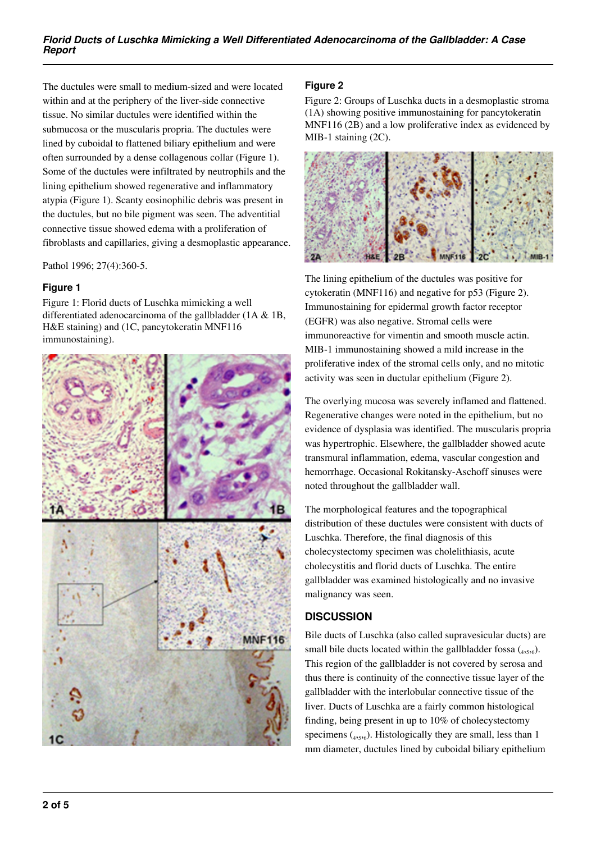The ductules were small to medium-sized and were located within and at the periphery of the liver-side connective tissue. No similar ductules were identified within the submucosa or the muscularis propria. The ductules were lined by cuboidal to flattened biliary epithelium and were often surrounded by a dense collagenous collar (Figure 1). Some of the ductules were infiltrated by neutrophils and the lining epithelium showed regenerative and inflammatory atypia (Figure 1). Scanty eosinophilic debris was present in the ductules, but no bile pigment was seen. The adventitial connective tissue showed edema with a proliferation of fibroblasts and capillaries, giving a desmoplastic appearance.

Pathol 1996; 27(4):360-5.

#### **Figure 1**

Figure 1: Florid ducts of Luschka mimicking a well differentiated adenocarcinoma of the gallbladder (1A & 1B, H&E staining) and (1C, pancytokeratin MNF116 immunostaining).



#### **Figure 2**

Figure 2: Groups of Luschka ducts in a desmoplastic stroma (1A) showing positive immunostaining for pancytokeratin MNF116 (2B) and a low proliferative index as evidenced by MIB-1 staining (2C).



The lining epithelium of the ductules was positive for cytokeratin (MNF116) and negative for p53 (Figure 2). Immunostaining for epidermal growth factor receptor (EGFR) was also negative. Stromal cells were immunoreactive for vimentin and smooth muscle actin. MIB-1 immunostaining showed a mild increase in the proliferative index of the stromal cells only, and no mitotic activity was seen in ductular epithelium (Figure 2).

The overlying mucosa was severely inflamed and flattened. Regenerative changes were noted in the epithelium, but no evidence of dysplasia was identified. The muscularis propria was hypertrophic. Elsewhere, the gallbladder showed acute transmural inflammation, edema, vascular congestion and hemorrhage. Occasional Rokitansky-Aschoff sinuses were noted throughout the gallbladder wall.

The morphological features and the topographical distribution of these ductules were consistent with ducts of Luschka. Therefore, the final diagnosis of this cholecystectomy specimen was cholelithiasis, acute cholecystitis and florid ducts of Luschka. The entire gallbladder was examined histologically and no invasive malignancy was seen.

### **DISCUSSION**

Bile ducts of Luschka (also called supravesicular ducts) are small bile ducts located within the gallbladder fossa  $(4, 5, 6)$ . This region of the gallbladder is not covered by serosa and thus there is continuity of the connective tissue layer of the gallbladder with the interlobular connective tissue of the liver. Ducts of Luschka are a fairly common histological finding, being present in up to 10% of cholecystectomy specimens  $_{4,5,6}$ ). Histologically they are small, less than 1 mm diameter, ductules lined by cuboidal biliary epithelium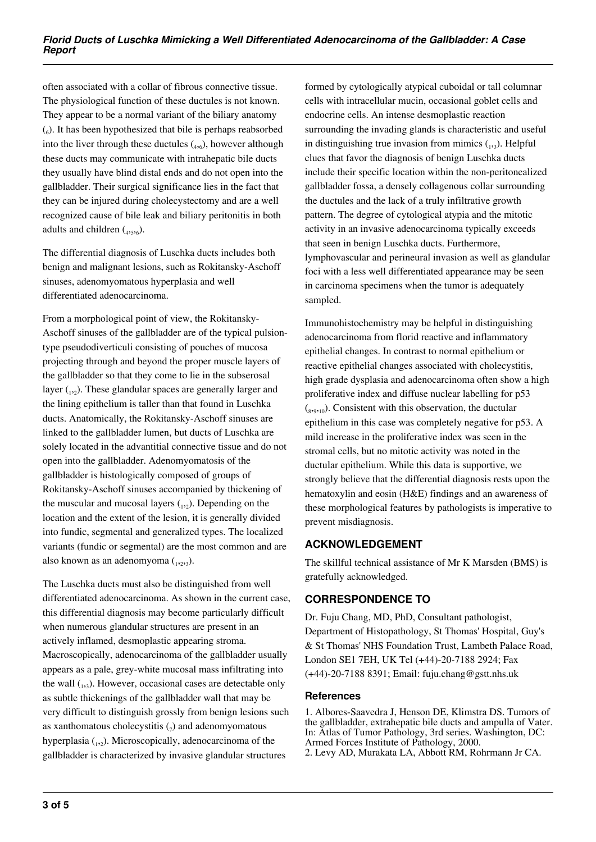often associated with a collar of fibrous connective tissue. The physiological function of these ductules is not known. They appear to be a normal variant of the biliary anatomy (6 ). It has been hypothesized that bile is perhaps reabsorbed into the liver through these ductules  $_{4,6}$ ), however although these ducts may communicate with intrahepatic bile ducts they usually have blind distal ends and do not open into the gallbladder. Their surgical significance lies in the fact that they can be injured during cholecystectomy and are a well recognized cause of bile leak and biliary peritonitis in both adults and children  $(4,5,6)$ .

The differential diagnosis of Luschka ducts includes both benign and malignant lesions, such as Rokitansky-Aschoff sinuses, adenomyomatous hyperplasia and well differentiated adenocarcinoma.

From a morphological point of view, the Rokitansky-Aschoff sinuses of the gallbladder are of the typical pulsiontype pseudodiverticuli consisting of pouches of mucosa projecting through and beyond the proper muscle layers of the gallbladder so that they come to lie in the subserosal layer  $_{1,2}$ ). These glandular spaces are generally larger and the lining epithelium is taller than that found in Luschka ducts. Anatomically, the Rokitansky-Aschoff sinuses are linked to the gallbladder lumen, but ducts of Luschka are solely located in the advantitial connective tissue and do not open into the gallbladder. Adenomyomatosis of the gallbladder is histologically composed of groups of Rokitansky-Aschoff sinuses accompanied by thickening of the muscular and mucosal layers  $_{1,2}$ ). Depending on the location and the extent of the lesion, it is generally divided into fundic, segmental and generalized types. The localized variants (fundic or segmental) are the most common and are also known as an adenomyoma  $_{1,2,3}$ ).

The Luschka ducts must also be distinguished from well differentiated adenocarcinoma. As shown in the current case, this differential diagnosis may become particularly difficult when numerous glandular structures are present in an actively inflamed, desmoplastic appearing stroma. Macroscopically, adenocarcinoma of the gallbladder usually appears as a pale, grey-white mucosal mass infiltrating into the wall (1,3). However, occasional cases are detectable only as subtle thickenings of the gallbladder wall that may be very difficult to distinguish grossly from benign lesions such as xanthomatous cholecystitis  $\binom{1}{7}$  and adenomyomatous hyperplasia (1,2). Microscopically, adenocarcinoma of the gallbladder is characterized by invasive glandular structures

formed by cytologically atypical cuboidal or tall columnar cells with intracellular mucin, occasional goblet cells and endocrine cells. An intense desmoplastic reaction surrounding the invading glands is characteristic and useful in distinguishing true invasion from mimics  $_{1,3}$ ). Helpful clues that favor the diagnosis of benign Luschka ducts include their specific location within the non-peritonealized gallbladder fossa, a densely collagenous collar surrounding the ductules and the lack of a truly infiltrative growth pattern. The degree of cytological atypia and the mitotic activity in an invasive adenocarcinoma typically exceeds that seen in benign Luschka ducts. Furthermore, lymphovascular and perineural invasion as well as glandular foci with a less well differentiated appearance may be seen in carcinoma specimens when the tumor is adequately sampled.

Immunohistochemistry may be helpful in distinguishing adenocarcinoma from florid reactive and inflammatory epithelial changes. In contrast to normal epithelium or reactive epithelial changes associated with cholecystitis, high grade dysplasia and adenocarcinoma often show a high proliferative index and diffuse nuclear labelling for p53  $(s_{39,10})$ . Consistent with this observation, the ductular epithelium in this case was completely negative for p53. A mild increase in the proliferative index was seen in the stromal cells, but no mitotic activity was noted in the ductular epithelium. While this data is supportive, we strongly believe that the differential diagnosis rests upon the hematoxylin and eosin (H&E) findings and an awareness of these morphological features by pathologists is imperative to prevent misdiagnosis.

### **ACKNOWLEDGEMENT**

The skillful technical assistance of Mr K Marsden (BMS) is gratefully acknowledged.

## **CORRESPONDENCE TO**

Dr. Fuju Chang, MD, PhD, Consultant pathologist, Department of Histopathology, St Thomas' Hospital, Guy's & St Thomas' NHS Foundation Trust, Lambeth Palace Road, London SE1 7EH, UK Tel (+44)-20-7188 2924; Fax (+44)-20-7188 8391; Email: fuju.chang@gstt.nhs.uk

### **References**

1. Albores-Saavedra J, Henson DE, Klimstra DS. Tumors of the gallbladder, extrahepatic bile ducts and ampulla of Vater. In: Atlas of Tumor Pathology, 3rd series. Washington, DC: Armed Forces Institute of Pathology, 2000. 2. Levy AD, Murakata LA, Abbott RM, Rohrmann Jr CA.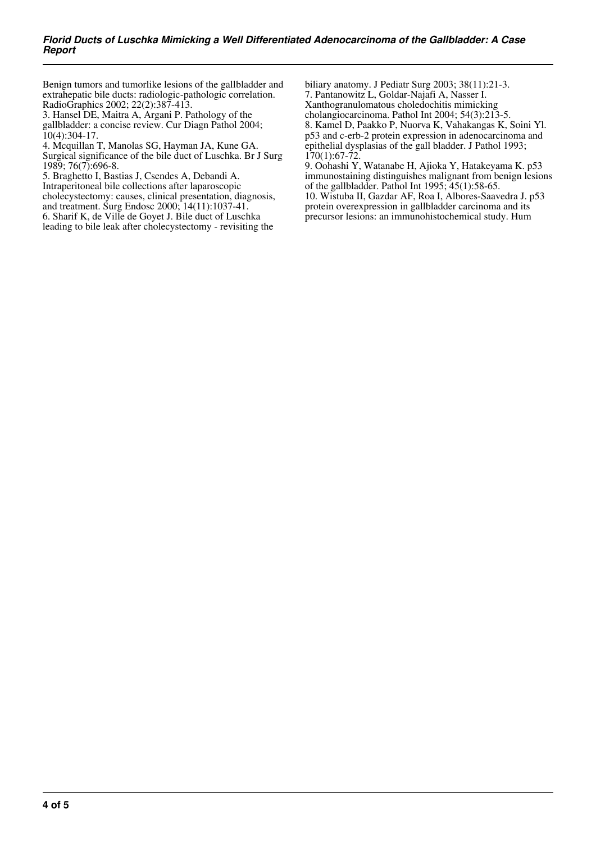Benign tumors and tumorlike lesions of the gallbladder and extrahepatic bile ducts: radiologic-pathologic correlation. RadioGraphics 2002; 22(2):387-413.

3. Hansel DE, Maitra A, Argani P. Pathology of the gallbladder: a concise review. Cur Diagn Pathol 2004;  $10(4):304-17.$ 

4. Mcquillan T, Manolas SG, Hayman JA, Kune GA. Surgical significance of the bile duct of Luschka. Br J Surg 1989; 76(7):696-8.

5. Braghetto I, Bastias J, Csendes A, Debandi A. Intraperitoneal bile collections after laparoscopic cholecystectomy: causes, clinical presentation, diagnosis, and treatment. Surg Endosc 2000; 14(11):1037-41.

6. Sharif K, de Ville de Goyet J. Bile duct of Luschka leading to bile leak after cholecystectomy - revisiting the biliary anatomy. J Pediatr Surg 2003; 38(11):21-3. 7. Pantanowitz L, Goldar-Najafi A, Nasser I. Xanthogranulomatous choledochitis mimicking cholangiocarcinoma. Pathol Int 2004; 54(3):213-5. 8. Kamel D, Paakko P, Nuorva K, Vahakangas K, Soini Yl. p53 and c-erb-2 protein expression in adenocarcinoma and epithelial dysplasias of the gall bladder. J Pathol 1993;  $170(1):67-72$ 

9. Oohashi Y, Watanabe H, Ajioka Y, Hatakeyama K. p53 immunostaining distinguishes malignant from benign lesions of the gallbladder. Pathol Int 1995; 45(1):58-65. 10. Wistuba II, Gazdar AF, Roa I, Albores-Saavedra J. p53 protein overexpression in gallbladder carcinoma and its

precursor lesions: an immunohistochemical study. Hum